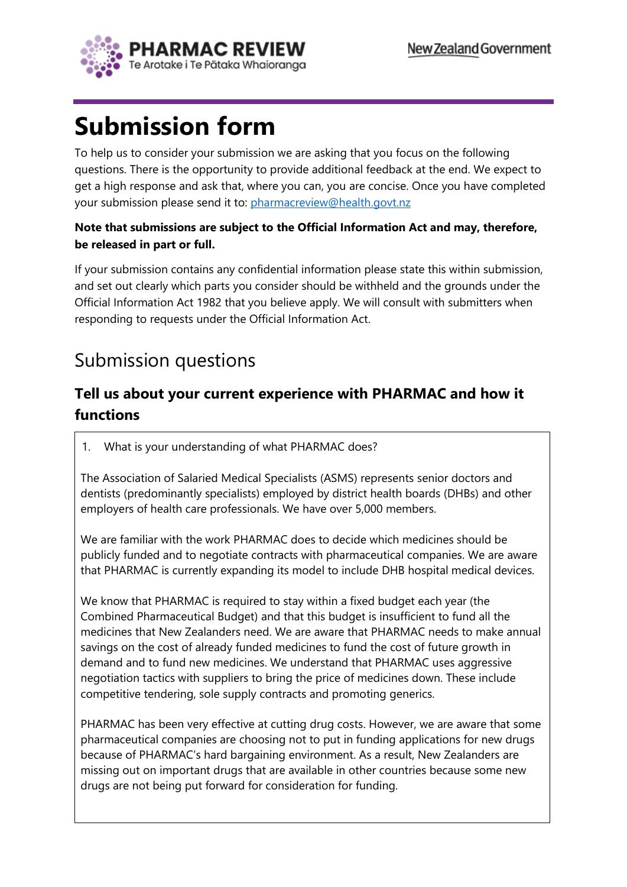

# **Submission form**

To help us to consider your submission we are asking that you focus on the following questions. There is the opportunity to provide additional feedback at the end. We expect to get a high response and ask that, where you can, you are concise. Once you have completed your submission please send it to: [pharmacreview@health.govt.nz](mailto:pharmacreview@health.govt.nz)

#### **Note that submissions are subject to the Official Information Act and may, therefore, be released in part or full.**

If your submission contains any confidential information please state this within submission, and set out clearly which parts you consider should be withheld and the grounds under the Official Information Act 1982 that you believe apply. We will consult with submitters when responding to requests under the Official Information Act.

## Submission questions

## **Tell us about your current experience with PHARMAC and how it functions**

1. What is your understanding of what PHARMAC does?

The Association of Salaried Medical Specialists (ASMS) represents senior doctors and dentists (predominantly specialists) employed by district health boards (DHBs) and other employers of health care professionals. We have over 5,000 members.

We are familiar with the work PHARMAC does to decide which medicines should be publicly funded and to negotiate contracts with pharmaceutical companies. We are aware that PHARMAC is currently expanding its model to include DHB hospital medical devices.

We know that PHARMAC is required to stay within a fixed budget each year (the Combined Pharmaceutical Budget) and that this budget is insufficient to fund all the medicines that New Zealanders need. We are aware that PHARMAC needs to make annual savings on the cost of already funded medicines to fund the cost of future growth in demand and to fund new medicines. We understand that PHARMAC uses aggressive negotiation tactics with suppliers to bring the price of medicines down. These include competitive tendering, sole supply contracts and promoting generics.

PHARMAC has been very effective at cutting drug costs. However, we are aware that some pharmaceutical companies are choosing not to put in funding applications for new drugs because of PHARMAC's hard bargaining environment. As a result, New Zealanders are missing out on important drugs that are available in other countries because some new drugs are not being put forward for consideration for funding.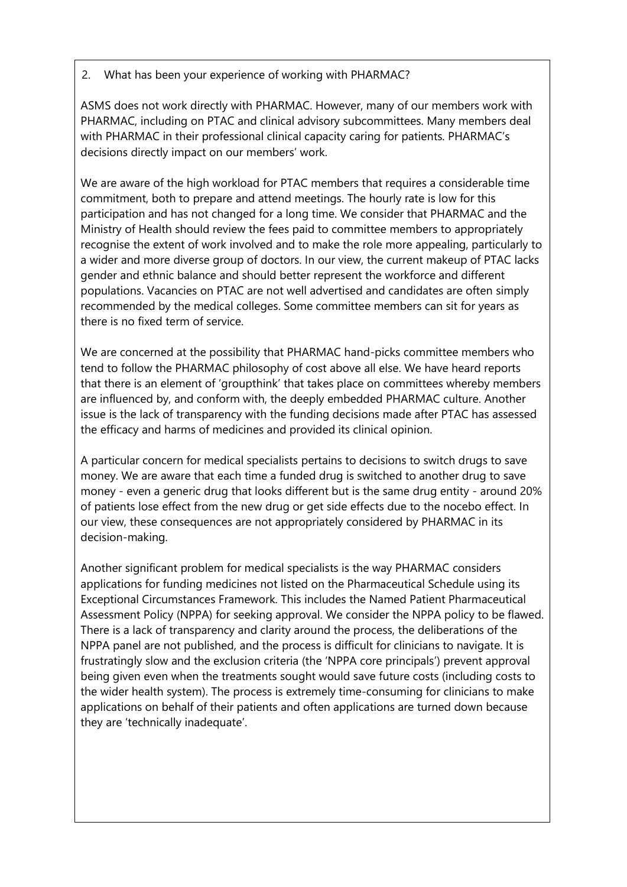#### 2. What has been your experience of working with PHARMAC?

ASMS does not work directly with PHARMAC. However, many of our members work with PHARMAC, including on PTAC and clinical advisory subcommittees. Many members deal with PHARMAC in their professional clinical capacity caring for patients. PHARMAC's decisions directly impact on our members' work.

We are aware of the high workload for PTAC members that requires a considerable time commitment, both to prepare and attend meetings. The hourly rate is low for this participation and has not changed for a long time. We consider that PHARMAC and the Ministry of Health should review the fees paid to committee members to appropriately recognise the extent of work involved and to make the role more appealing, particularly to a wider and more diverse group of doctors. In our view, the current makeup of PTAC lacks gender and ethnic balance and should better represent the workforce and different populations. Vacancies on PTAC are not well advertised and candidates are often simply recommended by the medical colleges. Some committee members can sit for years as there is no fixed term of service.

We are concerned at the possibility that PHARMAC hand-picks committee members who tend to follow the PHARMAC philosophy of cost above all else. We have heard reports that there is an element of 'groupthink' that takes place on committees whereby members are influenced by, and conform with, the deeply embedded PHARMAC culture. Another issue is the lack of transparency with the funding decisions made after PTAC has assessed the efficacy and harms of medicines and provided its clinical opinion.

A particular concern for medical specialists pertains to decisions to switch drugs to save money. We are aware that each time a funded drug is switched to another drug to save money - even a generic drug that looks different but is the same drug entity - around 20% of patients lose effect from the new drug or get side effects due to the nocebo effect. In our view, these consequences are not appropriately considered by PHARMAC in its decision-making.

Another significant problem for medical specialists is the way PHARMAC considers applications for funding medicines not listed on the Pharmaceutical Schedule using its Exceptional Circumstances Framework. This includes the Named Patient Pharmaceutical Assessment Policy (NPPA) for seeking approval. We consider the NPPA policy to be flawed. There is a lack of transparency and clarity around the process, the deliberations of the NPPA panel are not published, and the process is difficult for clinicians to navigate. It is frustratingly slow and the exclusion criteria (the 'NPPA core principals') prevent approval being given even when the treatments sought would save future costs (including costs to the wider health system). The process is extremely time-consuming for clinicians to make applications on behalf of their patients and often applications are turned down because they are 'technically inadequate'.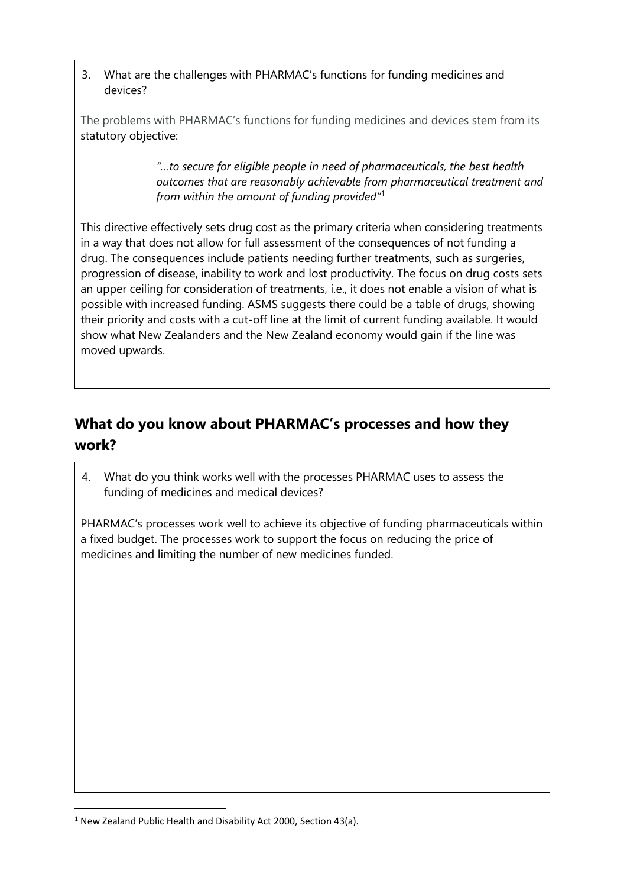3. What are the challenges with PHARMAC's functions for funding medicines and devices?

The problems with PHARMAC's functions for funding medicines and devices stem from its statutory objective:

> *"…to secure for eligible people in need of pharmaceuticals, the best health outcomes that are reasonably achievable from pharmaceutical treatment and from within the amount of funding provided"*<sup>1</sup>

This directive effectively sets drug cost as the primary criteria when considering treatments in a way that does not allow for full assessment of the consequences of not funding a drug. The consequences include patients needing further treatments, such as surgeries, progression of disease, inability to work and lost productivity. The focus on drug costs sets an upper ceiling for consideration of treatments, i.e., it does not enable a vision of what is possible with increased funding. ASMS suggests there could be a table of drugs, showing their priority and costs with a cut-off line at the limit of current funding available. It would show what New Zealanders and the New Zealand economy would gain if the line was moved upwards.

## **What do you know about PHARMAC's processes and how they work?**

4. What do you think works well with the processes PHARMAC uses to assess the funding of medicines and medical devices?

PHARMAC's processes work well to achieve its objective of funding pharmaceuticals within a fixed budget. The processes work to support the focus on reducing the price of medicines and limiting the number of new medicines funded.

 $1$  New Zealand Public Health and Disability Act 2000, Section 43(a).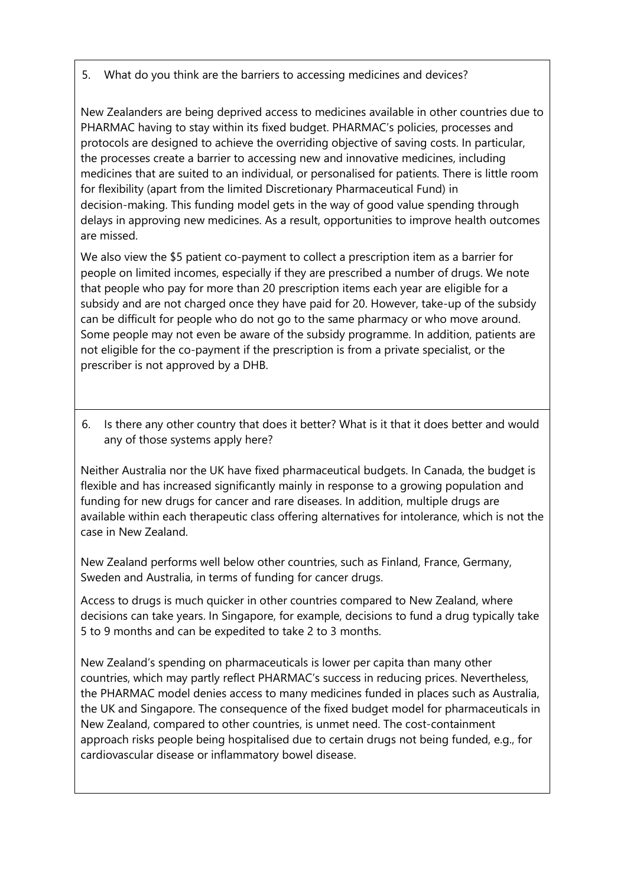#### 5. What do you think are the barriers to accessing medicines and devices?

New Zealanders are being deprived access to medicines available in other countries due to PHARMAC having to stay within its fixed budget. PHARMAC's policies, processes and protocols are designed to achieve the overriding objective of saving costs. In particular, the processes create a barrier to accessing new and innovative medicines, including medicines that are suited to an individual, or personalised for patients. There is little room for flexibility (apart from the limited Discretionary Pharmaceutical Fund) in decision-making. This funding model gets in the way of good value spending through delays in approving new medicines. As a result, opportunities to improve health outcomes are missed.

We also view the \$5 patient co-payment to collect a prescription item as a barrier for people on limited incomes, especially if they are prescribed a number of drugs. We note that people who pay for more than 20 prescription items each year are eligible for a subsidy and are not charged once they have paid for 20. However, take-up of the subsidy can be difficult for people who do not go to the same pharmacy or who move around. Some people may not even be aware of the subsidy programme. In addition, patients are not eligible for the co-payment if the prescription is from a private specialist, or the prescriber is not approved by a DHB.

6. Is there any other country that does it better? What is it that it does better and would any of those systems apply here?

Neither Australia nor the UK have fixed pharmaceutical budgets. In Canada, the budget is flexible and has increased significantly mainly in response to a growing population and funding for new drugs for cancer and rare diseases. In addition, multiple drugs are available within each therapeutic class offering alternatives for intolerance, which is not the case in New Zealand.

New Zealand performs well below other countries, such as Finland, France, Germany, Sweden and Australia, in terms of funding for cancer drugs.

Access to drugs is much quicker in other countries compared to New Zealand, where decisions can take years. In Singapore, for example, decisions to fund a drug typically take 5 to 9 months and can be expedited to take 2 to 3 months.

New Zealand's spending on pharmaceuticals is lower per capita than many other countries, which may partly reflect PHARMAC's success in reducing prices. Nevertheless, the PHARMAC model denies access to many medicines funded in places such as Australia, the UK and Singapore. The consequence of the fixed budget model for pharmaceuticals in New Zealand, compared to other countries, is unmet need. The cost-containment approach risks people being hospitalised due to certain drugs not being funded, e.g., for cardiovascular disease or inflammatory bowel disease.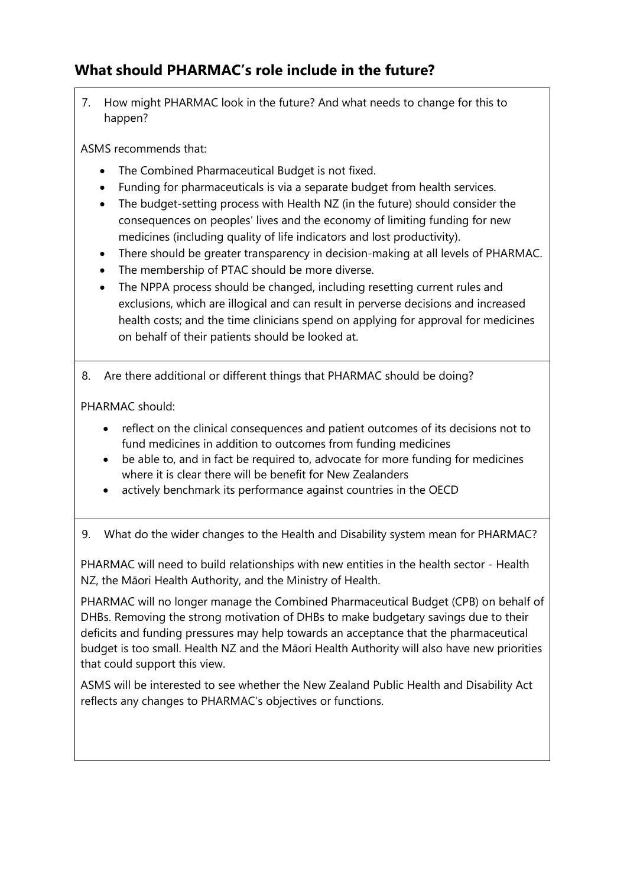### **What should PHARMAC's role include in the future?**

7. How might PHARMAC look in the future? And what needs to change for this to happen?

ASMS recommends that:

- The Combined Pharmaceutical Budget is not fixed.
- Funding for pharmaceuticals is via a separate budget from health services.
- The budget-setting process with Health NZ (in the future) should consider the consequences on peoples' lives and the economy of limiting funding for new medicines (including quality of life indicators and lost productivity).
- There should be greater transparency in decision-making at all levels of PHARMAC.
- The membership of PTAC should be more diverse.
- The NPPA process should be changed, including resetting current rules and exclusions, which are illogical and can result in perverse decisions and increased health costs; and the time clinicians spend on applying for approval for medicines on behalf of their patients should be looked at.

8. Are there additional or different things that PHARMAC should be doing?

PHARMAC should:

- reflect on the clinical consequences and patient outcomes of its decisions not to fund medicines in addition to outcomes from funding medicines
- be able to, and in fact be required to, advocate for more funding for medicines where it is clear there will be benefit for New Zealanders
- actively benchmark its performance against countries in the OECD
- 9. What do the wider changes to the Health and Disability system mean for PHARMAC?

PHARMAC will need to build relationships with new entities in the health sector - Health NZ, the Māori Health Authority, and the Ministry of Health.

PHARMAC will no longer manage the Combined Pharmaceutical Budget (CPB) on behalf of DHBs. Removing the strong motivation of DHBs to make budgetary savings due to their deficits and funding pressures may help towards an acceptance that the pharmaceutical budget is too small. Health NZ and the Māori Health Authority will also have new priorities that could support this view.

ASMS will be interested to see whether the New Zealand Public Health and Disability Act reflects any changes to PHARMAC's objectives or functions.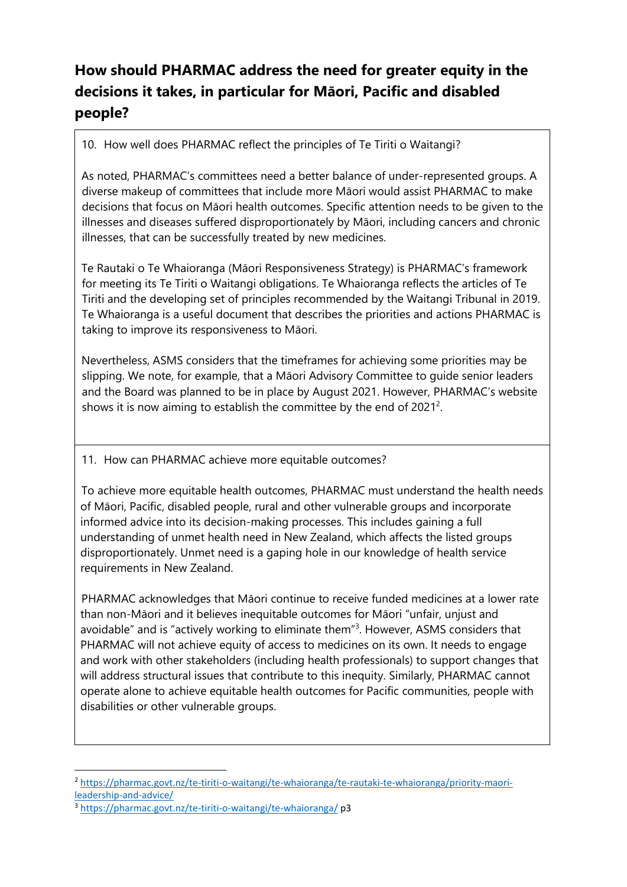## **How should PHARMAC address the need for greater equity in the decisions it takes, in particular for Māori, Pacific and disabled people?**

10. How well does PHARMAC reflect the principles of Te Tiriti o Waitangi?

As noted, PHARMAC's committees need a better balance of under-represented groups. A diverse makeup of committees that include more Māori would assist PHARMAC to make decisions that focus on Māori health outcomes. Specific attention needs to be given to the illnesses and diseases suffered disproportionately by Māori, including cancers and chronic illnesses, that can be successfully treated by new medicines.

Te Rautaki o Te Whaioranga (Māori Responsiveness Strategy) is PHARMAC's framework for meeting its Te Tiriti o Waitangi obligations. Te Whaioranga reflects the articles of Te Tiriti and the developing set of principles recommended by the Waitangi Tribunal in 2019. Te Whaioranga is a useful document that describes the priorities and actions PHARMAC is taking to improve its responsiveness to Māori.

Nevertheless, ASMS considers that the timeframes for achieving some priorities may be slipping. We note, for example, that a Māori Advisory Committee to guide senior leaders and the Board was planned to be in place by August 2021. However, PHARMAC's website shows it is now aiming to establish the committee by the end of  $2021^2$ .

11. How can PHARMAC achieve more equitable outcomes?

To achieve more equitable health outcomes, PHARMAC must understand the health needs of Māori, Pacific, disabled people, rural and other vulnerable groups and incorporate informed advice into its decision-making processes. This includes gaining a full understanding of unmet health need in New Zealand, which affects the listed groups disproportionately. Unmet need is a gaping hole in our knowledge of health service requirements in New Zealand.

PHARMAC acknowledges that Māori continue to receive funded medicines at a lower rate than non-Māori and it believes inequitable outcomes for Māori "unfair, unjust and avoidable" and is "actively working to eliminate them"<sup>3</sup>. However, ASMS considers that PHARMAC will not achieve equity of access to medicines on its own. It needs to engage and work with other stakeholders (including health professionals) to support changes that will address structural issues that contribute to this inequity. Similarly, PHARMAC cannot operate alone to achieve equitable health outcomes for Pacific communities, people with disabilities or other vulnerable groups.

<sup>2</sup> [https://pharmac.govt.nz/te-tiriti-o-waitangi/te-whaioranga/te-rautaki-te-whaioranga/priority-maori](https://pharmac.govt.nz/te-tiriti-o-waitangi/te-whaioranga/te-rautaki-te-whaioranga/priority-maori-leadership-and-advice/)[leadership-and-advice/](https://pharmac.govt.nz/te-tiriti-o-waitangi/te-whaioranga/te-rautaki-te-whaioranga/priority-maori-leadership-and-advice/)

<sup>3</sup> <https://pharmac.govt.nz/te-tiriti-o-waitangi/te-whaioranga/> p3